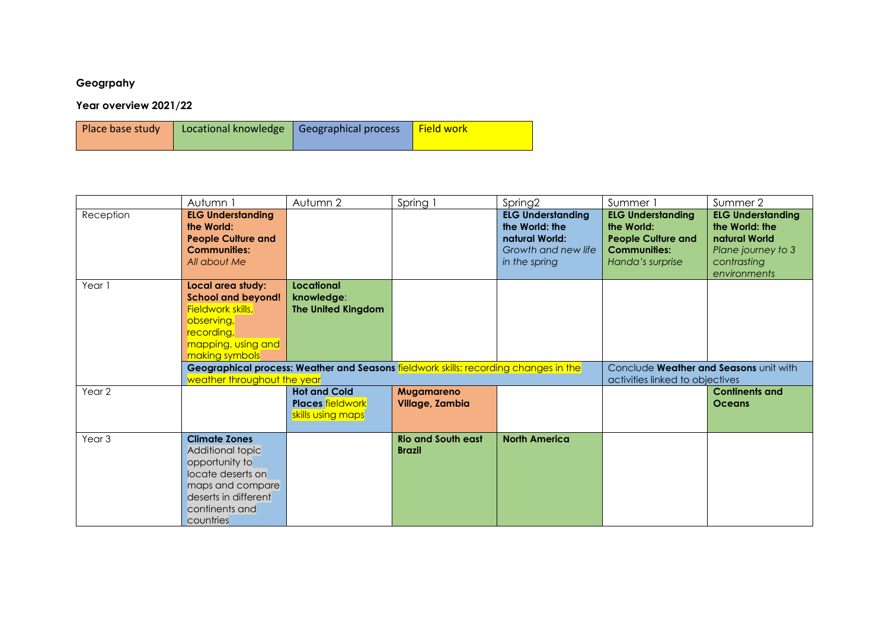## **Geogrpahy**

**Year overview 2021/22**

| Place base study | Locational knowledge   Geographical process   Field work |  |
|------------------|----------------------------------------------------------|--|
|                  |                                                          |  |

|                   | Autumn 1                                                                                                                                      | Autumn 2                                                                                                                                             | Spring 1                                   | Spring <sub>2</sub>                                                                                  | Summer 1                                                                                                       | Summer 2                                                                                                         |
|-------------------|-----------------------------------------------------------------------------------------------------------------------------------------------|------------------------------------------------------------------------------------------------------------------------------------------------------|--------------------------------------------|------------------------------------------------------------------------------------------------------|----------------------------------------------------------------------------------------------------------------|------------------------------------------------------------------------------------------------------------------|
| Reception         | <b>ELG Understanding</b><br>the World:<br><b>People Culture and</b><br><b>Communities:</b><br>All about Me                                    |                                                                                                                                                      |                                            | <b>ELG Understanding</b><br>the World: the<br>natural World:<br>Growth and new life<br>in the spring | <b>ELG Understanding</b><br>the World:<br><b>People Culture and</b><br><b>Communities:</b><br>Handa's surprise | <b>ELG Understanding</b><br>the World: the<br>natural World<br>Plane journey to 3<br>contrasting<br>environments |
| Year 1            | Local area study:<br><b>School and beyond!</b><br>Fieldwork skills,<br>observing,<br>recording,<br>mapping, using and<br>making symbols       | <b>Locational</b><br>knowledge:<br><b>The United Kingdom</b><br>Geographical process: Weather and Seasons fieldwork skills: recording changes in the |                                            |                                                                                                      | Conclude <b>Weather and Seasons</b> unit with                                                                  |                                                                                                                  |
|                   | weather throughout the year                                                                                                                   |                                                                                                                                                      |                                            | activities linked to objectives                                                                      |                                                                                                                |                                                                                                                  |
| Year 2            |                                                                                                                                               | <b>Hot and Cold</b><br><b>Places fieldwork</b><br>skills using maps                                                                                  | Mugamareno<br>Village, Zambia              |                                                                                                      |                                                                                                                | <b>Continents and</b><br><b>Oceans</b>                                                                           |
| Year <sub>3</sub> | <b>Climate Zones</b><br>Additional topic<br>opportunity to<br>locate deserts on<br>maps and compare<br>deserts in different<br>continents and |                                                                                                                                                      | <b>Rio and South east</b><br><b>Brazil</b> | <b>North America</b>                                                                                 |                                                                                                                |                                                                                                                  |